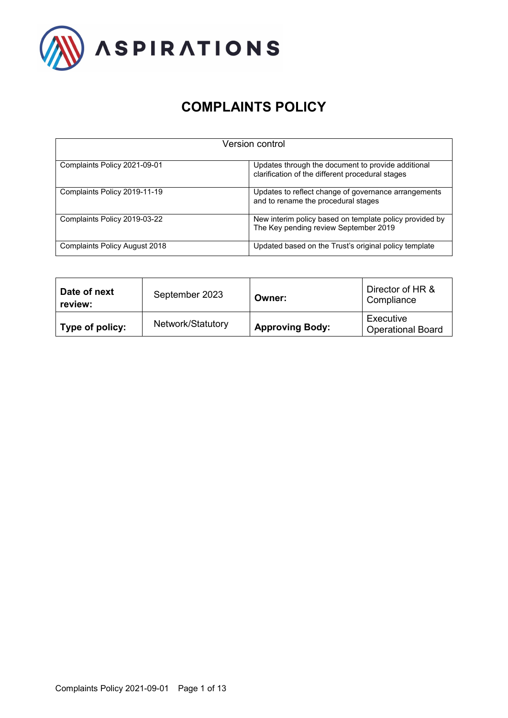

# **COMPLAINTS POLICY**

| Version control               |                                                                                                        |  |
|-------------------------------|--------------------------------------------------------------------------------------------------------|--|
| Complaints Policy 2021-09-01  | Updates through the document to provide additional<br>clarification of the different procedural stages |  |
| Complaints Policy 2019-11-19  | Updates to reflect change of governance arrangements<br>and to rename the procedural stages            |  |
| Complaints Policy 2019-03-22  | New interim policy based on template policy provided by<br>The Key pending review September 2019       |  |
| Complaints Policy August 2018 | Updated based on the Trust's original policy template                                                  |  |

| Date of next<br>review: | September 2023    | Owner:                 | Director of HR &<br>Compliance        |
|-------------------------|-------------------|------------------------|---------------------------------------|
| Type of policy:         | Network/Statutory | <b>Approving Body:</b> | Executive<br><b>Operational Board</b> |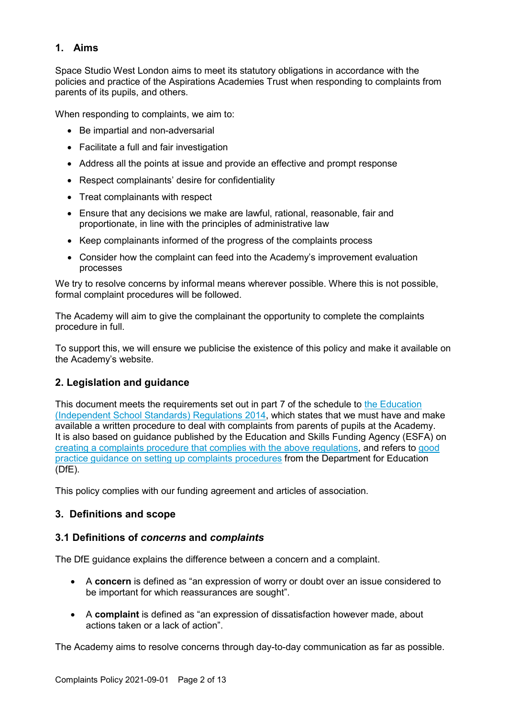# **1. Aims**

Space Studio West London aims to meet its statutory obligations in accordance with the policies and practice of the Aspirations Academies Trust when responding to complaints from parents of its pupils, and others.

When responding to complaints, we aim to:

- Be impartial and non-adversarial
- Facilitate a full and fair investigation
- Address all the points at issue and provide an effective and prompt response
- Respect complainants' desire for confidentiality
- Treat complainants with respect
- Ensure that any decisions we make are lawful, rational, reasonable, fair and proportionate, in line with the principles of administrative law
- Keep complainants informed of the progress of the complaints process
- Consider how the complaint can feed into the Academy's improvement evaluation processes

We try to resolve concerns by informal means wherever possible. Where this is not possible, formal complaint procedures will be followed.

The Academy will aim to give the complainant the opportunity to complete the complaints procedure in full.

To support this, we will ensure we publicise the existence of this policy and make it available on the Academy's website.

# **2. Legislation and guidance**

This document meets the requirements set out in part 7 of the schedule to the [Education](http://www.legislation.gov.uk/uksi/2014/3283/schedule/made)  [\(Independent School Standards\) Regulations 2014,](http://www.legislation.gov.uk/uksi/2014/3283/schedule/made) which states that we must have and make available a written procedure to deal with complaints from parents of pupils at the Academy. It is also based on guidance published by the Education and Skills Funding Agency (ESFA) on [creating a complaints procedure that complies with the above regulations,](https://www.gov.uk/government/publications/setting-up-an-academies-complaints-procedure) and refers to [good](https://www.gov.uk/government/publications/school-complaints-procedures)  [practice guidance on setting up complaints procedures](https://www.gov.uk/government/publications/school-complaints-procedures) from the Department for Education (DfE).

This policy complies with our funding agreement and articles of association.

# **3. Definitions and scope**

# **3.1 Definitions of** *concerns* **and** *complaints*

The DfE guidance explains the difference between a concern and a complaint.

- A **concern** is defined as "an expression of worry or doubt over an issue considered to be important for which reassurances are sought".
- A **complaint** is defined as "an expression of dissatisfaction however made, about actions taken or a lack of action".

The Academy aims to resolve concerns through day-to-day communication as far as possible.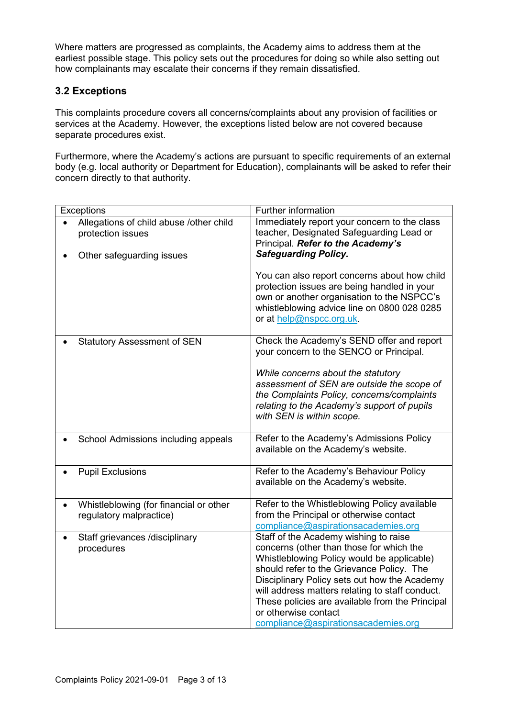Where matters are progressed as complaints, the Academy aims to address them at the earliest possible stage. This policy sets out the procedures for doing so while also setting out how complainants may escalate their concerns if they remain dissatisfied.

# **3.2 Exceptions**

This complaints procedure covers all concerns/complaints about any provision of facilities or services at the Academy. However, the exceptions listed below are not covered because separate procedures exist.

Furthermore, where the Academy's actions are pursuant to specific requirements of an external body (e.g. local authority or Department for Education), complainants will be asked to refer their concern directly to that authority.

| <b>Exceptions</b>                                                                         | Further information                                                                                                                                                                                                                                                                                                                                                                               |
|-------------------------------------------------------------------------------------------|---------------------------------------------------------------------------------------------------------------------------------------------------------------------------------------------------------------------------------------------------------------------------------------------------------------------------------------------------------------------------------------------------|
| Allegations of child abuse /other child<br>protection issues<br>Other safeguarding issues | Immediately report your concern to the class<br>teacher, Designated Safeguarding Lead or<br>Principal. Refer to the Academy's<br><b>Safeguarding Policy.</b>                                                                                                                                                                                                                                      |
|                                                                                           | You can also report concerns about how child<br>protection issues are being handled in your<br>own or another organisation to the NSPCC's<br>whistleblowing advice line on 0800 028 0285<br>or at help@nspcc.org.uk.                                                                                                                                                                              |
| <b>Statutory Assessment of SEN</b>                                                        | Check the Academy's SEND offer and report<br>your concern to the SENCO or Principal.<br>While concerns about the statutory<br>assessment of SEN are outside the scope of<br>the Complaints Policy, concerns/complaints<br>relating to the Academy's support of pupils<br>with SEN is within scope.                                                                                                |
| School Admissions including appeals                                                       | Refer to the Academy's Admissions Policy<br>available on the Academy's website.                                                                                                                                                                                                                                                                                                                   |
| <b>Pupil Exclusions</b>                                                                   | Refer to the Academy's Behaviour Policy<br>available on the Academy's website.                                                                                                                                                                                                                                                                                                                    |
| Whistleblowing (for financial or other<br>regulatory malpractice)                         | Refer to the Whistleblowing Policy available<br>from the Principal or otherwise contact<br>compliance@aspirationsacademies.org                                                                                                                                                                                                                                                                    |
| Staff grievances /disciplinary<br>procedures                                              | Staff of the Academy wishing to raise<br>concerns (other than those for which the<br>Whistleblowing Policy would be applicable)<br>should refer to the Grievance Policy. The<br>Disciplinary Policy sets out how the Academy<br>will address matters relating to staff conduct.<br>These policies are available from the Principal<br>or otherwise contact<br>compliance@aspirationsacademies.org |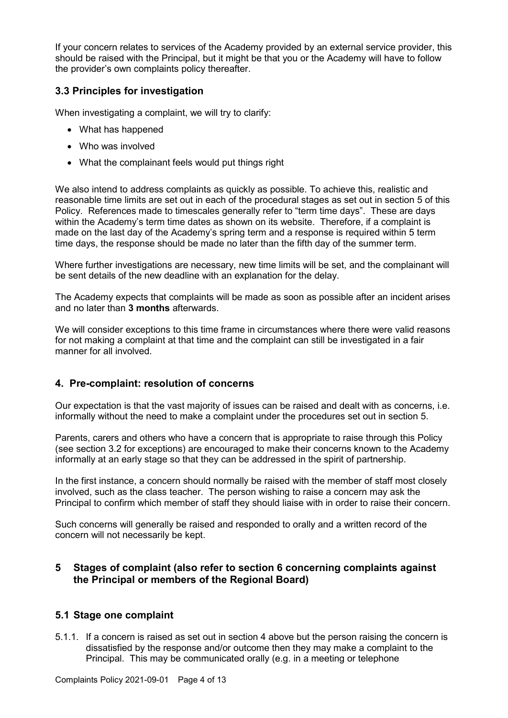If your concern relates to services of the Academy provided by an external service provider, this should be raised with the Principal, but it might be that you or the Academy will have to follow the provider's own complaints policy thereafter.

# **3.3 Principles for investigation**

When investigating a complaint, we will try to clarify:

- What has happened
- Who was involved
- What the complainant feels would put things right

We also intend to address complaints as quickly as possible. To achieve this, realistic and reasonable time limits are set out in each of the procedural stages as set out in section 5 of this Policy. References made to timescales generally refer to "term time days". These are days within the Academy's term time dates as shown on its website. Therefore, if a complaint is made on the last day of the Academy's spring term and a response is required within 5 term time days, the response should be made no later than the fifth day of the summer term.

Where further investigations are necessary, new time limits will be set, and the complainant will be sent details of the new deadline with an explanation for the delay.

The Academy expects that complaints will be made as soon as possible after an incident arises and no later than **3 months** afterwards.

We will consider exceptions to this time frame in circumstances where there were valid reasons for not making a complaint at that time and the complaint can still be investigated in a fair manner for all involved.

# **4. Pre-complaint: resolution of concerns**

Our expectation is that the vast majority of issues can be raised and dealt with as concerns, i.e. informally without the need to make a complaint under the procedures set out in section 5.

Parents, carers and others who have a concern that is appropriate to raise through this Policy (see section 3.2 for exceptions) are encouraged to make their concerns known to the Academy informally at an early stage so that they can be addressed in the spirit of partnership.

In the first instance, a concern should normally be raised with the member of staff most closely involved, such as the class teacher. The person wishing to raise a concern may ask the Principal to confirm which member of staff they should liaise with in order to raise their concern.

Such concerns will generally be raised and responded to orally and a written record of the concern will not necessarily be kept.

#### **5 Stages of complaint (also refer to section 6 concerning complaints against the Principal or members of the Regional Board)**

# **5.1 Stage one complaint**

5.1.1. If a concern is raised as set out in section 4 above but the person raising the concern is dissatisfied by the response and/or outcome then they may make a complaint to the Principal. This may be communicated orally (e.g. in a meeting or telephone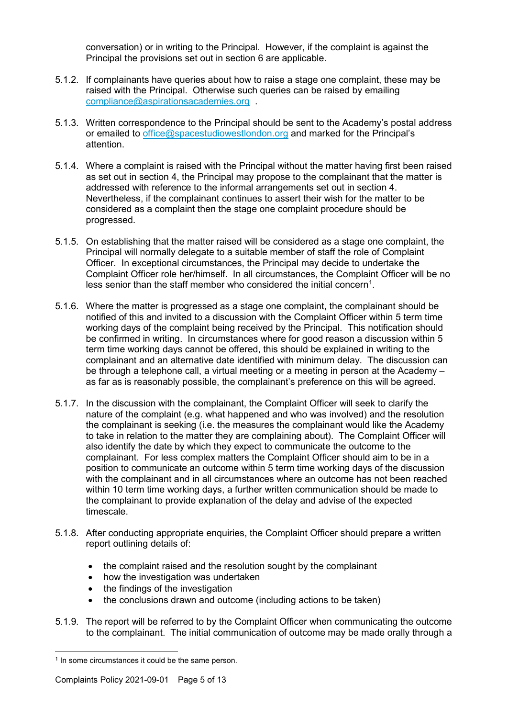conversation) or in writing to the Principal. However, if the complaint is against the Principal the provisions set out in section 6 are applicable.

- 5.1.2. If complainants have queries about how to raise a stage one complaint, these may be raised with the Principal. Otherwise such queries can be raised by emailing [compliance@aspirationsacademies.org](mailto:compliance@aspirationsacademies.org) .
- 5.1.3. Written correspondence to the Principal should be sent to the Academy's postal address or emailed to [office@spacestudiowestlondon.org](mailto:office@spacestudiowestlondon.org) and marked for the Principal's attention.
- 5.1.4. Where a complaint is raised with the Principal without the matter having first been raised as set out in section 4, the Principal may propose to the complainant that the matter is addressed with reference to the informal arrangements set out in section 4. Nevertheless, if the complainant continues to assert their wish for the matter to be considered as a complaint then the stage one complaint procedure should be progressed.
- 5.1.5. On establishing that the matter raised will be considered as a stage one complaint, the Principal will normally delegate to a suitable member of staff the role of Complaint Officer. In exceptional circumstances, the Principal may decide to undertake the Complaint Officer role her/himself. In all circumstances, the Complaint Officer will be no less senior than the staff member who considered the initial concern<sup>[1](#page-4-0)</sup>.
- 5.1.6. Where the matter is progressed as a stage one complaint, the complainant should be notified of this and invited to a discussion with the Complaint Officer within 5 term time working days of the complaint being received by the Principal. This notification should be confirmed in writing. In circumstances where for good reason a discussion within 5 term time working days cannot be offered, this should be explained in writing to the complainant and an alternative date identified with minimum delay. The discussion can be through a telephone call, a virtual meeting or a meeting in person at the Academy – as far as is reasonably possible, the complainant's preference on this will be agreed.
- 5.1.7. In the discussion with the complainant, the Complaint Officer will seek to clarify the nature of the complaint (e.g. what happened and who was involved) and the resolution the complainant is seeking (i.e. the measures the complainant would like the Academy to take in relation to the matter they are complaining about). The Complaint Officer will also identify the date by which they expect to communicate the outcome to the complainant. For less complex matters the Complaint Officer should aim to be in a position to communicate an outcome within 5 term time working days of the discussion with the complainant and in all circumstances where an outcome has not been reached within 10 term time working days, a further written communication should be made to the complainant to provide explanation of the delay and advise of the expected timescale.
- 5.1.8. After conducting appropriate enquiries, the Complaint Officer should prepare a written report outlining details of:
	- the complaint raised and the resolution sought by the complainant
	- how the investigation was undertaken
	- the findings of the investigation
	- the conclusions drawn and outcome (including actions to be taken)
- 5.1.9. The report will be referred to by the Complaint Officer when communicating the outcome to the complainant. The initial communication of outcome may be made orally through a

 $\overline{a}$ 

<span id="page-4-0"></span><sup>&</sup>lt;sup>1</sup> In some circumstances it could be the same person.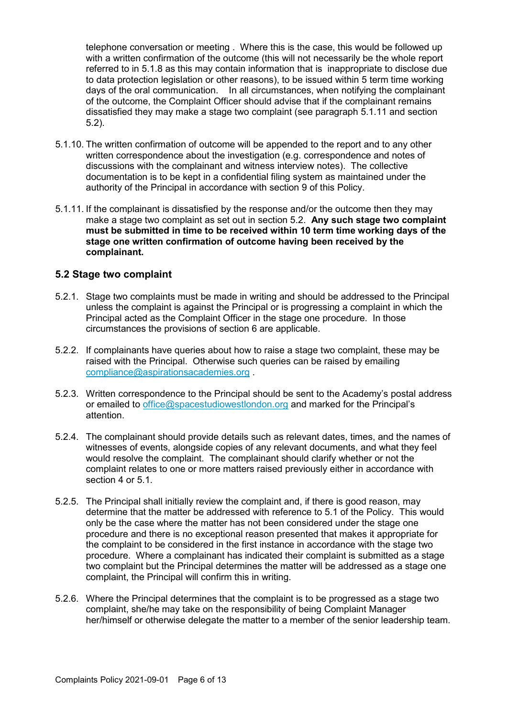telephone conversation or meeting . Where this is the case, this would be followed up with a written confirmation of the outcome (this will not necessarily be the whole report referred to in 5.1.8 as this may contain information that is inappropriate to disclose due to data protection legislation or other reasons), to be issued within 5 term time working days of the oral communication. In all circumstances, when notifying the complainant of the outcome, the Complaint Officer should advise that if the complainant remains dissatisfied they may make a stage two complaint (see paragraph 5.1.11 and section 5.2).

- 5.1.10. The written confirmation of outcome will be appended to the report and to any other written correspondence about the investigation (e.g. correspondence and notes of discussions with the complainant and witness interview notes). The collective documentation is to be kept in a confidential filing system as maintained under the authority of the Principal in accordance with section 9 of this Policy.
- 5.1.11. If the complainant is dissatisfied by the response and/or the outcome then they may make a stage two complaint as set out in section 5.2. **Any such stage two complaint must be submitted in time to be received within 10 term time working days of the stage one written confirmation of outcome having been received by the complainant.**

#### **5.2 Stage two complaint**

- 5.2.1. Stage two complaints must be made in writing and should be addressed to the Principal unless the complaint is against the Principal or is progressing a complaint in which the Principal acted as the Complaint Officer in the stage one procedure. In those circumstances the provisions of section 6 are applicable.
- 5.2.2. If complainants have queries about how to raise a stage two complaint, these may be raised with the Principal. Otherwise such queries can be raised by emailing [compliance@aspirationsacademies.org](mailto:compliance@aspirationsacademies.org) .
- 5.2.3. Written correspondence to the Principal should be sent to the Academy's postal address or emailed to [office@spacestudiowestlondon.org](mailto:office@spacestudiowestlondon.org) and marked for the Principal's attention.
- 5.2.4. The complainant should provide details such as relevant dates, times, and the names of witnesses of events, alongside copies of any relevant documents, and what they feel would resolve the complaint. The complainant should clarify whether or not the complaint relates to one or more matters raised previously either in accordance with section 4 or 5.1.
- 5.2.5. The Principal shall initially review the complaint and, if there is good reason, may determine that the matter be addressed with reference to 5.1 of the Policy. This would only be the case where the matter has not been considered under the stage one procedure and there is no exceptional reason presented that makes it appropriate for the complaint to be considered in the first instance in accordance with the stage two procedure. Where a complainant has indicated their complaint is submitted as a stage two complaint but the Principal determines the matter will be addressed as a stage one complaint, the Principal will confirm this in writing.
- 5.2.6. Where the Principal determines that the complaint is to be progressed as a stage two complaint, she/he may take on the responsibility of being Complaint Manager her/himself or otherwise delegate the matter to a member of the senior leadership team.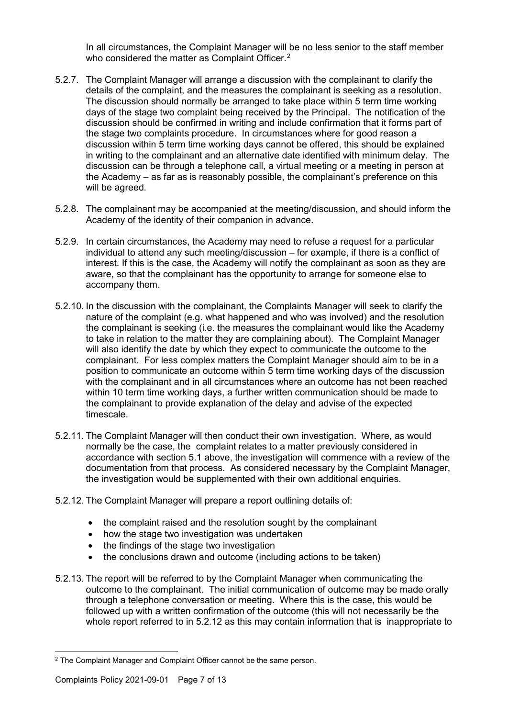In all circumstances, the Complaint Manager will be no less senior to the staff member who considered the matter as Complaint Officer.<sup>[2](#page-6-0)</sup>

- 5.2.7. The Complaint Manager will arrange a discussion with the complainant to clarify the details of the complaint, and the measures the complainant is seeking as a resolution. The discussion should normally be arranged to take place within 5 term time working days of the stage two complaint being received by the Principal. The notification of the discussion should be confirmed in writing and include confirmation that it forms part of the stage two complaints procedure. In circumstances where for good reason a discussion within 5 term time working days cannot be offered, this should be explained in writing to the complainant and an alternative date identified with minimum delay. The discussion can be through a telephone call, a virtual meeting or a meeting in person at the Academy – as far as is reasonably possible, the complainant's preference on this will be agreed.
- 5.2.8. The complainant may be accompanied at the meeting/discussion, and should inform the Academy of the identity of their companion in advance.
- 5.2.9. In certain circumstances, the Academy may need to refuse a request for a particular individual to attend any such meeting/discussion – for example, if there is a conflict of interest. If this is the case, the Academy will notify the complainant as soon as they are aware, so that the complainant has the opportunity to arrange for someone else to accompany them.
- 5.2.10. In the discussion with the complainant, the Complaints Manager will seek to clarify the nature of the complaint (e.g. what happened and who was involved) and the resolution the complainant is seeking (i.e. the measures the complainant would like the Academy to take in relation to the matter they are complaining about). The Complaint Manager will also identify the date by which they expect to communicate the outcome to the complainant. For less complex matters the Complaint Manager should aim to be in a position to communicate an outcome within 5 term time working days of the discussion with the complainant and in all circumstances where an outcome has not been reached within 10 term time working days, a further written communication should be made to the complainant to provide explanation of the delay and advise of the expected timescale.
- 5.2.11. The Complaint Manager will then conduct their own investigation. Where, as would normally be the case, the complaint relates to a matter previously considered in accordance with section 5.1 above, the investigation will commence with a review of the documentation from that process. As considered necessary by the Complaint Manager, the investigation would be supplemented with their own additional enquiries.
- 5.2.12. The Complaint Manager will prepare a report outlining details of:
	- the complaint raised and the resolution sought by the complainant
	- how the stage two investigation was undertaken
	- the findings of the stage two investigation
	- the conclusions drawn and outcome (including actions to be taken)
- 5.2.13. The report will be referred to by the Complaint Manager when communicating the outcome to the complainant. The initial communication of outcome may be made orally through a telephone conversation or meeting. Where this is the case, this would be followed up with a written confirmation of the outcome (this will not necessarily be the whole report referred to in 5.2.12 as this may contain information that is inappropriate to

<span id="page-6-0"></span> $\overline{a}$ <sup>2</sup> The Complaint Manager and Complaint Officer cannot be the same person.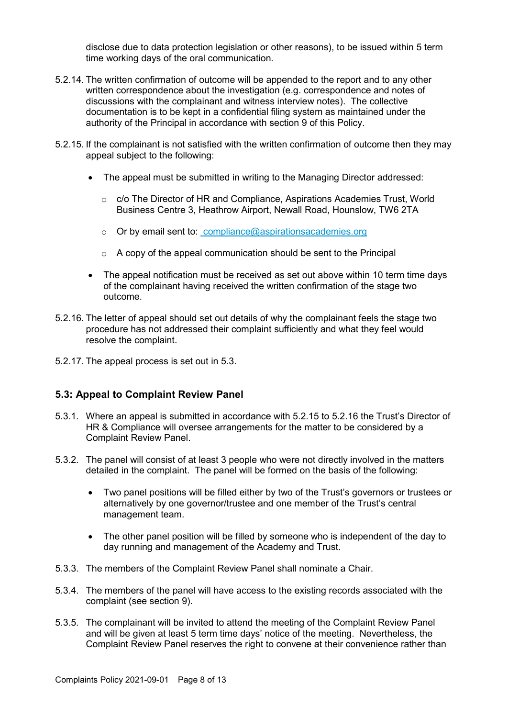disclose due to data protection legislation or other reasons), to be issued within 5 term time working days of the oral communication.

- 5.2.14. The written confirmation of outcome will be appended to the report and to any other written correspondence about the investigation (e.g. correspondence and notes of discussions with the complainant and witness interview notes). The collective documentation is to be kept in a confidential filing system as maintained under the authority of the Principal in accordance with section 9 of this Policy.
- 5.2.15. If the complainant is not satisfied with the written confirmation of outcome then they may appeal subject to the following:
	- The appeal must be submitted in writing to the Managing Director addressed:
		- $\circ$  c/o The Director of HR and Compliance, Aspirations Academies Trust, World Business Centre 3, Heathrow Airport, Newall Road, Hounslow, TW6 2TA
		- o Or by email sent to: compliance@aspirationsacademies.org
		- $\circ$  A copy of the appeal communication should be sent to the Principal
	- The appeal notification must be received as set out above within 10 term time days of the complainant having received the written confirmation of the stage two outcome.
- 5.2.16. The letter of appeal should set out details of why the complainant feels the stage two procedure has not addressed their complaint sufficiently and what they feel would resolve the complaint.
- 5.2.17. The appeal process is set out in 5.3.

# **5.3: Appeal to Complaint Review Panel**

- 5.3.1. Where an appeal is submitted in accordance with 5.2.15 to 5.2.16 the Trust's Director of HR & Compliance will oversee arrangements for the matter to be considered by a Complaint Review Panel.
- 5.3.2. The panel will consist of at least 3 people who were not directly involved in the matters detailed in the complaint. The panel will be formed on the basis of the following:
	- Two panel positions will be filled either by two of the Trust's governors or trustees or alternatively by one governor/trustee and one member of the Trust's central management team.
	- The other panel position will be filled by someone who is independent of the day to day running and management of the Academy and Trust.
- 5.3.3. The members of the Complaint Review Panel shall nominate a Chair.
- 5.3.4. The members of the panel will have access to the existing records associated with the complaint (see section 9).
- 5.3.5. The complainant will be invited to attend the meeting of the Complaint Review Panel and will be given at least 5 term time days' notice of the meeting. Nevertheless, the Complaint Review Panel reserves the right to convene at their convenience rather than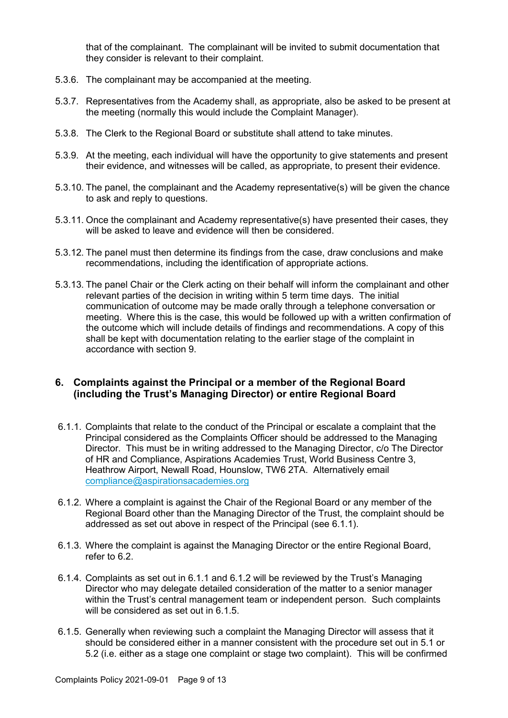that of the complainant. The complainant will be invited to submit documentation that they consider is relevant to their complaint.

- 5.3.6. The complainant may be accompanied at the meeting.
- 5.3.7. Representatives from the Academy shall, as appropriate, also be asked to be present at the meeting (normally this would include the Complaint Manager).
- 5.3.8. The Clerk to the Regional Board or substitute shall attend to take minutes.
- 5.3.9. At the meeting, each individual will have the opportunity to give statements and present their evidence, and witnesses will be called, as appropriate, to present their evidence.
- 5.3.10. The panel, the complainant and the Academy representative(s) will be given the chance to ask and reply to questions.
- 5.3.11. Once the complainant and Academy representative(s) have presented their cases, they will be asked to leave and evidence will then be considered.
- 5.3.12. The panel must then determine its findings from the case, draw conclusions and make recommendations, including the identification of appropriate actions.
- 5.3.13. The panel Chair or the Clerk acting on their behalf will inform the complainant and other relevant parties of the decision in writing within 5 term time days. The initial communication of outcome may be made orally through a telephone conversation or meeting. Where this is the case, this would be followed up with a written confirmation of the outcome which will include details of findings and recommendations. A copy of this shall be kept with documentation relating to the earlier stage of the complaint in accordance with section 9.

#### **6. Complaints against the Principal or a member of the Regional Board (including the Trust's Managing Director) or entire Regional Board**

- 6.1.1. Complaints that relate to the conduct of the Principal or escalate a complaint that the Principal considered as the Complaints Officer should be addressed to the Managing Director. This must be in writing addressed to the Managing Director, c/o The Director of HR and Compliance, Aspirations Academies Trust, World Business Centre 3, Heathrow Airport, Newall Road, Hounslow, TW6 2TA. Alternatively email [compliance@aspirationsacademies.org](mailto:compliance@aspirationsacademies.org)
- 6.1.2. Where a complaint is against the Chair of the Regional Board or any member of the Regional Board other than the Managing Director of the Trust, the complaint should be addressed as set out above in respect of the Principal (see 6.1.1).
- 6.1.3. Where the complaint is against the Managing Director or the entire Regional Board, refer to 6.2.
- 6.1.4. Complaints as set out in 6.1.1 and 6.1.2 will be reviewed by the Trust's Managing Director who may delegate detailed consideration of the matter to a senior manager within the Trust's central management team or independent person. Such complaints will be considered as set out in 6.1.5.
- 6.1.5. Generally when reviewing such a complaint the Managing Director will assess that it should be considered either in a manner consistent with the procedure set out in 5.1 or 5.2 (i.e. either as a stage one complaint or stage two complaint). This will be confirmed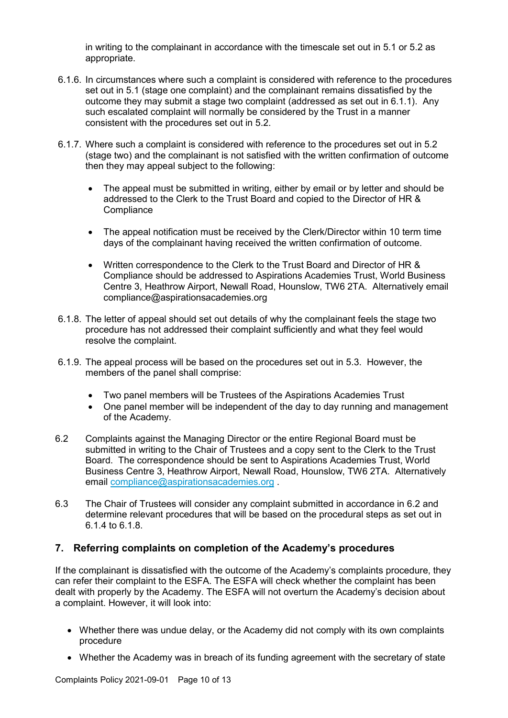in writing to the complainant in accordance with the timescale set out in 5.1 or 5.2 as appropriate.

- 6.1.6. In circumstances where such a complaint is considered with reference to the procedures set out in 5.1 (stage one complaint) and the complainant remains dissatisfied by the outcome they may submit a stage two complaint (addressed as set out in 6.1.1). Any such escalated complaint will normally be considered by the Trust in a manner consistent with the procedures set out in 5.2.
- 6.1.7. Where such a complaint is considered with reference to the procedures set out in 5.2 (stage two) and the complainant is not satisfied with the written confirmation of outcome then they may appeal subject to the following:
	- The appeal must be submitted in writing, either by email or by letter and should be addressed to the Clerk to the Trust Board and copied to the Director of HR & **Compliance**
	- The appeal notification must be received by the Clerk/Director within 10 term time days of the complainant having received the written confirmation of outcome.
	- Written correspondence to the Clerk to the Trust Board and Director of HR & Compliance should be addressed to Aspirations Academies Trust, World Business Centre 3, Heathrow Airport, Newall Road, Hounslow, TW6 2TA. Alternatively email compliance@aspirationsacademies.org
- 6.1.8. The letter of appeal should set out details of why the complainant feels the stage two procedure has not addressed their complaint sufficiently and what they feel would resolve the complaint.
- 6.1.9. The appeal process will be based on the procedures set out in 5.3. However, the members of the panel shall comprise:
	- Two panel members will be Trustees of the Aspirations Academies Trust
	- One panel member will be independent of the day to day running and management of the Academy.
- 6.2 Complaints against the Managing Director or the entire Regional Board must be submitted in writing to the Chair of Trustees and a copy sent to the Clerk to the Trust Board. The correspondence should be sent to Aspirations Academies Trust, World Business Centre 3, Heathrow Airport, Newall Road, Hounslow, TW6 2TA. Alternatively email [compliance@aspirationsacademies.org](mailto:compliance@aspirationsacademies.org) .
- 6.3 The Chair of Trustees will consider any complaint submitted in accordance in 6.2 and determine relevant procedures that will be based on the procedural steps as set out in 6.1.4 to 6.1.8.

# **7. Referring complaints on completion of the Academy's procedures**

If the complainant is dissatisfied with the outcome of the Academy's complaints procedure, they can refer their complaint to the ESFA. The ESFA will check whether the complaint has been dealt with properly by the Academy. The ESFA will not overturn the Academy's decision about a complaint. However, it will look into:

- Whether there was undue delay, or the Academy did not comply with its own complaints procedure
- Whether the Academy was in breach of its funding agreement with the secretary of state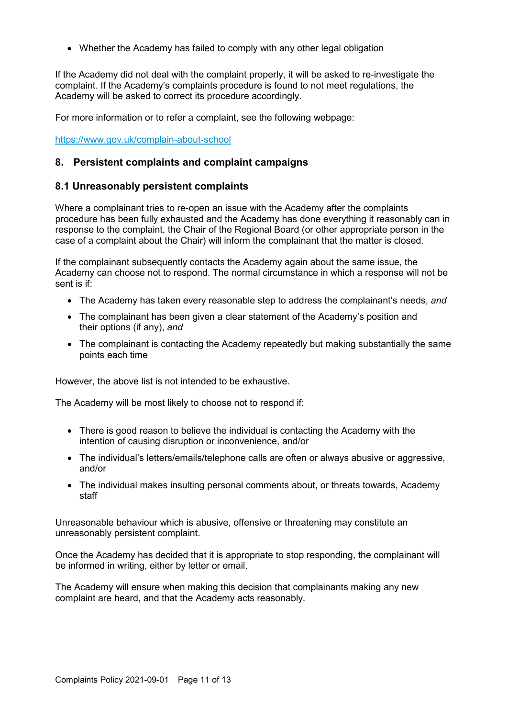• Whether the Academy has failed to comply with any other legal obligation

If the Academy did not deal with the complaint properly, it will be asked to re-investigate the complaint. If the Academy's complaints procedure is found to not meet regulations, the Academy will be asked to correct its procedure accordingly.

For more information or to refer a complaint, see the following webpage:

<https://www.gov.uk/complain-about-school>

#### **8. Persistent complaints and complaint campaigns**

#### **8.1 Unreasonably persistent complaints**

Where a complainant tries to re-open an issue with the Academy after the complaints procedure has been fully exhausted and the Academy has done everything it reasonably can in response to the complaint, the Chair of the Regional Board (or other appropriate person in the case of a complaint about the Chair) will inform the complainant that the matter is closed.

If the complainant subsequently contacts the Academy again about the same issue, the Academy can choose not to respond. The normal circumstance in which a response will not be sent is if:

- The Academy has taken every reasonable step to address the complainant's needs, *and*
- The complainant has been given a clear statement of the Academy's position and their options (if any), *and*
- The complainant is contacting the Academy repeatedly but making substantially the same points each time

However, the above list is not intended to be exhaustive.

The Academy will be most likely to choose not to respond if:

- There is good reason to believe the individual is contacting the Academy with the intention of causing disruption or inconvenience, and/or
- The individual's letters/emails/telephone calls are often or always abusive or aggressive, and/or
- The individual makes insulting personal comments about, or threats towards, Academy staff

Unreasonable behaviour which is abusive, offensive or threatening may constitute an unreasonably persistent complaint.

Once the Academy has decided that it is appropriate to stop responding, the complainant will be informed in writing, either by letter or email.

The Academy will ensure when making this decision that complainants making any new complaint are heard, and that the Academy acts reasonably.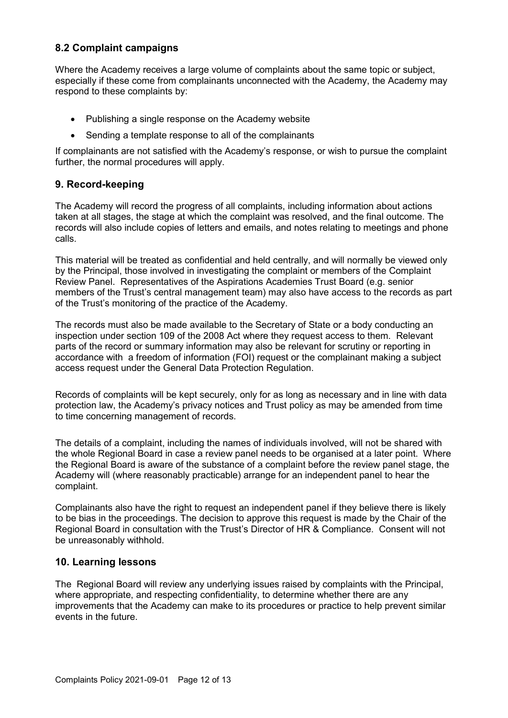# **8.2 Complaint campaigns**

Where the Academy receives a large volume of complaints about the same topic or subject, especially if these come from complainants unconnected with the Academy, the Academy may respond to these complaints by:

- Publishing a single response on the Academy website
- Sending a template response to all of the complainants

If complainants are not satisfied with the Academy's response, or wish to pursue the complaint further, the normal procedures will apply.

# **9. Record-keeping**

The Academy will record the progress of all complaints, including information about actions taken at all stages, the stage at which the complaint was resolved, and the final outcome. The records will also include copies of letters and emails, and notes relating to meetings and phone calls.

This material will be treated as confidential and held centrally, and will normally be viewed only by the Principal, those involved in investigating the complaint or members of the Complaint Review Panel. Representatives of the Aspirations Academies Trust Board (e.g. senior members of the Trust's central management team) may also have access to the records as part of the Trust's monitoring of the practice of the Academy.

The records must also be made available to the Secretary of State or a body conducting an inspection under section 109 of the 2008 Act where they request access to them. Relevant parts of the record or summary information may also be relevant for scrutiny or reporting in accordance with a freedom of information (FOI) request or the complainant making a subject access request under the General Data Protection Regulation.

Records of complaints will be kept securely, only for as long as necessary and in line with data protection law, the Academy's privacy notices and Trust policy as may be amended from time to time concerning management of records.

The details of a complaint, including the names of individuals involved, will not be shared with the whole Regional Board in case a review panel needs to be organised at a later point. Where the Regional Board is aware of the substance of a complaint before the review panel stage, the Academy will (where reasonably practicable) arrange for an independent panel to hear the complaint.

Complainants also have the right to request an independent panel if they believe there is likely to be bias in the proceedings. The decision to approve this request is made by the Chair of the Regional Board in consultation with the Trust's Director of HR & Compliance. Consent will not be unreasonably withhold.

# **10. Learning lessons**

The Regional Board will review any underlying issues raised by complaints with the Principal, where appropriate, and respecting confidentiality, to determine whether there are any improvements that the Academy can make to its procedures or practice to help prevent similar events in the future.